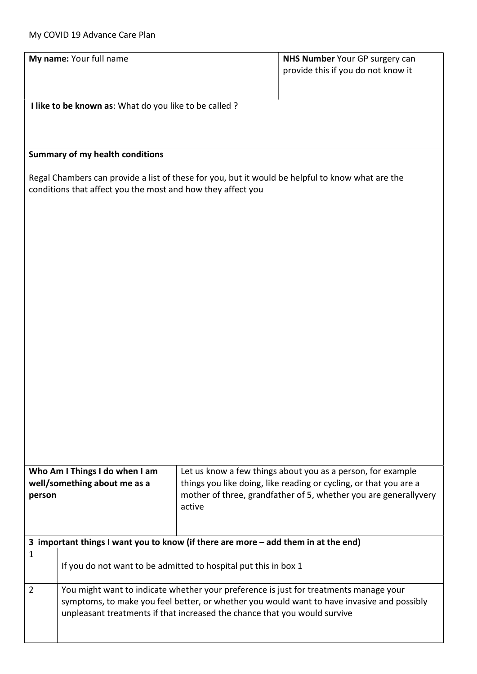|                                                                                                  | My name: Your full name                                                                                                                                                             |        | NHS Number Your GP surgery can<br>provide this if you do not know it                                                                                                                                 |  |  |  |
|--------------------------------------------------------------------------------------------------|-------------------------------------------------------------------------------------------------------------------------------------------------------------------------------------|--------|------------------------------------------------------------------------------------------------------------------------------------------------------------------------------------------------------|--|--|--|
|                                                                                                  |                                                                                                                                                                                     |        |                                                                                                                                                                                                      |  |  |  |
| I like to be known as: What do you like to be called ?                                           |                                                                                                                                                                                     |        |                                                                                                                                                                                                      |  |  |  |
|                                                                                                  |                                                                                                                                                                                     |        |                                                                                                                                                                                                      |  |  |  |
| <b>Summary of my health conditions</b>                                                           |                                                                                                                                                                                     |        |                                                                                                                                                                                                      |  |  |  |
| Regal Chambers can provide a list of these for you, but it would be helpful to know what are the |                                                                                                                                                                                     |        |                                                                                                                                                                                                      |  |  |  |
| conditions that affect you the most and how they affect you                                      |                                                                                                                                                                                     |        |                                                                                                                                                                                                      |  |  |  |
|                                                                                                  |                                                                                                                                                                                     |        |                                                                                                                                                                                                      |  |  |  |
|                                                                                                  |                                                                                                                                                                                     |        |                                                                                                                                                                                                      |  |  |  |
|                                                                                                  |                                                                                                                                                                                     |        |                                                                                                                                                                                                      |  |  |  |
|                                                                                                  |                                                                                                                                                                                     |        |                                                                                                                                                                                                      |  |  |  |
|                                                                                                  |                                                                                                                                                                                     |        |                                                                                                                                                                                                      |  |  |  |
|                                                                                                  |                                                                                                                                                                                     |        |                                                                                                                                                                                                      |  |  |  |
|                                                                                                  |                                                                                                                                                                                     |        |                                                                                                                                                                                                      |  |  |  |
|                                                                                                  |                                                                                                                                                                                     |        |                                                                                                                                                                                                      |  |  |  |
|                                                                                                  |                                                                                                                                                                                     |        |                                                                                                                                                                                                      |  |  |  |
|                                                                                                  |                                                                                                                                                                                     |        |                                                                                                                                                                                                      |  |  |  |
|                                                                                                  |                                                                                                                                                                                     |        |                                                                                                                                                                                                      |  |  |  |
|                                                                                                  |                                                                                                                                                                                     |        |                                                                                                                                                                                                      |  |  |  |
| Who Am I Things I do when I am<br>well/something about me as a<br>person                         |                                                                                                                                                                                     | active | Let us know a few things about you as a person, for example<br>things you like doing, like reading or cycling, or that you are a<br>mother of three, grandfather of 5, whether you are generallyvery |  |  |  |
|                                                                                                  |                                                                                                                                                                                     |        |                                                                                                                                                                                                      |  |  |  |
| 3 important things I want you to know (if there are more - add them in at the end)               |                                                                                                                                                                                     |        |                                                                                                                                                                                                      |  |  |  |
| $\mathbf{1}$                                                                                     | If you do not want to be admitted to hospital put this in box 1                                                                                                                     |        |                                                                                                                                                                                                      |  |  |  |
| $\overline{2}$                                                                                   | You might want to indicate whether your preference is just for treatments manage your<br>symptoms, to make you feel better, or whether you would want to have invasive and possibly |        |                                                                                                                                                                                                      |  |  |  |
|                                                                                                  | unpleasant treatments if that increased the chance that you would survive                                                                                                           |        |                                                                                                                                                                                                      |  |  |  |
|                                                                                                  |                                                                                                                                                                                     |        |                                                                                                                                                                                                      |  |  |  |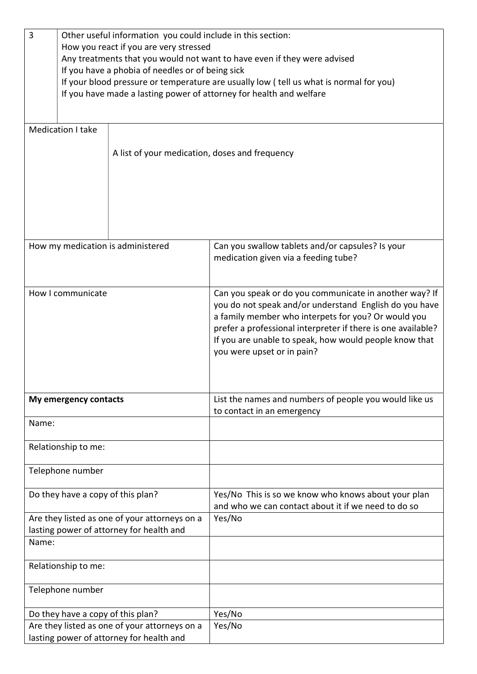| 3                                             | Other useful information you could include in this section:              |                                                |                                                                                        |  |  |
|-----------------------------------------------|--------------------------------------------------------------------------|------------------------------------------------|----------------------------------------------------------------------------------------|--|--|
|                                               | How you react if you are very stressed                                   |                                                |                                                                                        |  |  |
|                                               | Any treatments that you would not want to have even if they were advised |                                                |                                                                                        |  |  |
|                                               | If you have a phobia of needles or of being sick                         |                                                |                                                                                        |  |  |
|                                               |                                                                          |                                                | If your blood pressure or temperature are usually low (tell us what is normal for you) |  |  |
|                                               |                                                                          |                                                | If you have made a lasting power of attorney for health and welfare                    |  |  |
|                                               |                                                                          |                                                |                                                                                        |  |  |
|                                               |                                                                          |                                                |                                                                                        |  |  |
|                                               | Medication I take                                                        |                                                |                                                                                        |  |  |
|                                               |                                                                          |                                                |                                                                                        |  |  |
|                                               |                                                                          | A list of your medication, doses and frequency |                                                                                        |  |  |
|                                               |                                                                          |                                                |                                                                                        |  |  |
|                                               |                                                                          |                                                |                                                                                        |  |  |
|                                               |                                                                          |                                                |                                                                                        |  |  |
|                                               |                                                                          |                                                |                                                                                        |  |  |
|                                               |                                                                          |                                                |                                                                                        |  |  |
|                                               |                                                                          |                                                |                                                                                        |  |  |
|                                               |                                                                          |                                                |                                                                                        |  |  |
|                                               |                                                                          |                                                |                                                                                        |  |  |
|                                               |                                                                          | How my medication is administered              | Can you swallow tablets and/or capsules? Is your                                       |  |  |
|                                               |                                                                          |                                                | medication given via a feeding tube?                                                   |  |  |
|                                               |                                                                          |                                                |                                                                                        |  |  |
|                                               |                                                                          |                                                |                                                                                        |  |  |
|                                               | How I communicate                                                        |                                                | Can you speak or do you communicate in another way? If                                 |  |  |
|                                               |                                                                          |                                                | you do not speak and/or understand English do you have                                 |  |  |
|                                               |                                                                          |                                                | a family member who interpets for you? Or would you                                    |  |  |
|                                               |                                                                          |                                                | prefer a professional interpreter if there is one available?                           |  |  |
|                                               |                                                                          |                                                | If you are unable to speak, how would people know that                                 |  |  |
|                                               |                                                                          |                                                | you were upset or in pain?                                                             |  |  |
|                                               |                                                                          |                                                |                                                                                        |  |  |
|                                               |                                                                          |                                                |                                                                                        |  |  |
|                                               |                                                                          |                                                |                                                                                        |  |  |
|                                               | My emergency contacts                                                    |                                                | List the names and numbers of people you would like us                                 |  |  |
|                                               |                                                                          |                                                |                                                                                        |  |  |
|                                               |                                                                          |                                                | to contact in an emergency                                                             |  |  |
| Name:                                         |                                                                          |                                                |                                                                                        |  |  |
|                                               |                                                                          |                                                |                                                                                        |  |  |
|                                               | Relationship to me:                                                      |                                                |                                                                                        |  |  |
|                                               |                                                                          |                                                |                                                                                        |  |  |
|                                               | Telephone number                                                         |                                                |                                                                                        |  |  |
|                                               |                                                                          |                                                |                                                                                        |  |  |
|                                               | Do they have a copy of this plan?                                        |                                                | Yes/No This is so we know who knows about your plan                                    |  |  |
|                                               |                                                                          |                                                | and who we can contact about it if we need to do so                                    |  |  |
| Are they listed as one of your attorneys on a |                                                                          |                                                | Yes/No                                                                                 |  |  |
| lasting power of attorney for health and      |                                                                          |                                                |                                                                                        |  |  |
| Name:                                         |                                                                          |                                                |                                                                                        |  |  |
|                                               |                                                                          |                                                |                                                                                        |  |  |
|                                               |                                                                          |                                                |                                                                                        |  |  |
| Relationship to me:                           |                                                                          |                                                |                                                                                        |  |  |
|                                               |                                                                          |                                                |                                                                                        |  |  |
| Telephone number                              |                                                                          |                                                |                                                                                        |  |  |
|                                               |                                                                          |                                                |                                                                                        |  |  |
| Do they have a copy of this plan?             |                                                                          |                                                | Yes/No                                                                                 |  |  |
| Are they listed as one of your attorneys on a |                                                                          |                                                | Yes/No                                                                                 |  |  |
| lasting power of attorney for health and      |                                                                          |                                                |                                                                                        |  |  |